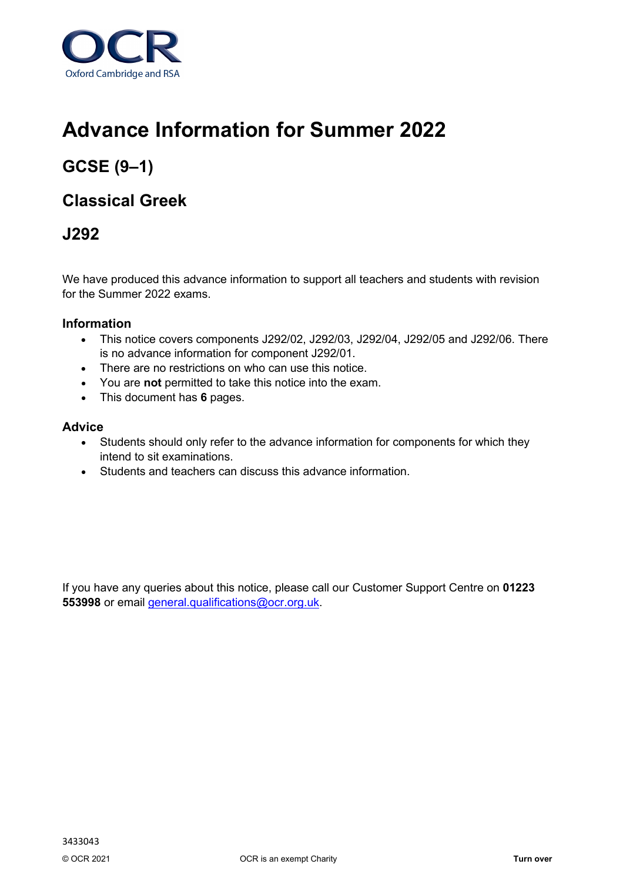

# **Advance Information for Summer 2022**

## **GCSE (9–1)**

### **Classical Greek**

### **J292**

We have produced this advance information to support all teachers and students with revision for the Summer 2022 exams.

#### **Information**

- This notice covers components J292/02, J292/03, J292/04, J292/05 and J292/06. There is no advance information for component J292/01.
- There are no restrictions on who can use this notice.
- You are **not** permitted to take this notice into the exam.
- This document has **6** pages.

#### **Advice**

- Students should only refer to the advance information for components for which they intend to sit examinations.
- Students and teachers can discuss this advance information.

If you have any queries about this notice, please call our Customer Support Centre on **01223 553998** or email [general.qualifications@ocr.org.uk.](mailto:general.qualifications@ocr.org.uk)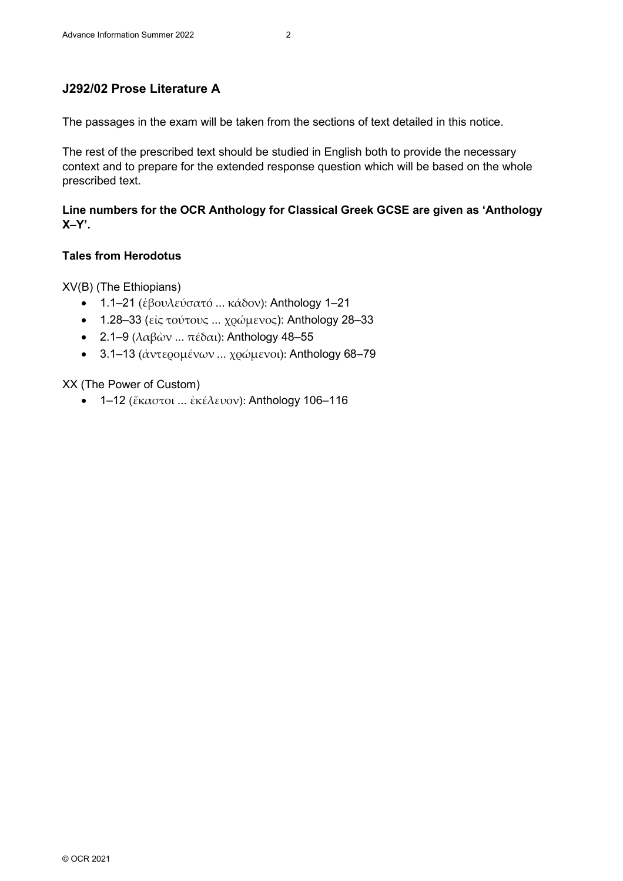#### **J292/02 Prose Literature A**

The passages in the exam will be taken from the sections of text detailed in this notice.

The rest of the prescribed text should be studied in English both to provide the necessary context and to prepare for the extended response question which will be based on the whole prescribed text.

#### **Line numbers for the OCR Anthology for Classical Greek GCSE are given as 'Anthology X–Y'.**

#### **Tales from Herodotus**

XV(B) (The Ethiopians)

- 1.1–21 (ἐβουλεύσατό ... κάδον): Anthology 1–21
- 1.28-33 (είς τούτους ... χρώμενος): Anthology 28-33
- 2.1–9 (λαβών ... πέδαι): Anthology 48–55
- 3.1–13 (άντερομένων ... χρώμενοι): Anthology 68–79

#### XX (The Power of Custom)

• 1–12 (ἕκαστοι ... ἐκέλευον): Anthology 106–116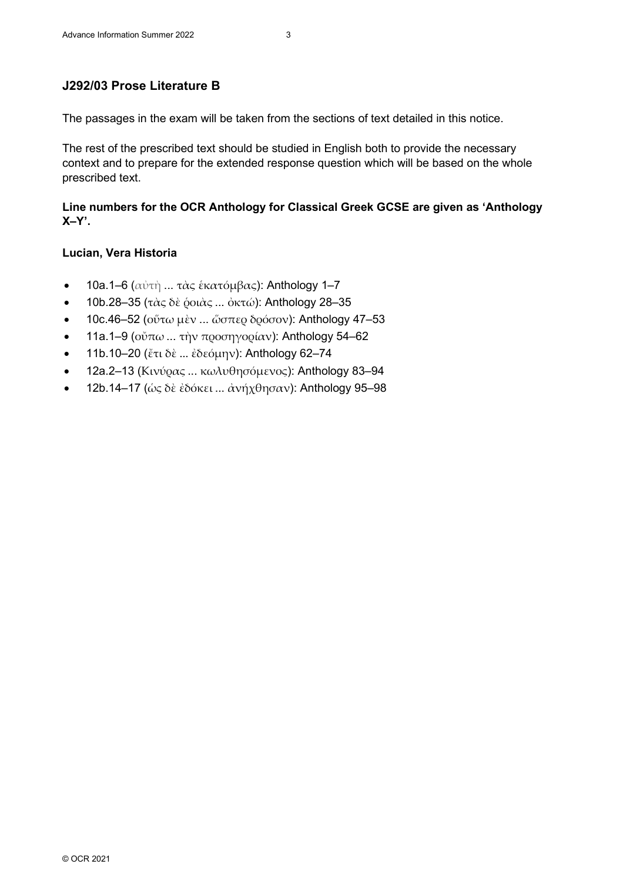### **J292/03 Prose Literature B**

The passages in the exam will be taken from the sections of text detailed in this notice.

The rest of the prescribed text should be studied in English both to provide the necessary context and to prepare for the extended response question which will be based on the whole prescribed text.

**Line numbers for the OCR Anthology for Classical Greek GCSE are given as 'Anthology X–Y'.**

#### **Lucian, Vera Historia**

- 10a.1–6 (αὐτὴ ... τὰς ἑκατόμβας): Anthology 1–7
- 10b.28–35 (τὰς δὲ ὁοιὰς ... ὀκτώ): Anthology 28–35
- 10c.46–52 (οὕτω μὲν ... ὥσπερ δρόσον): Anthology 47–53
- 11a.1–9 (ούπω ... την προσηγορίαν): Anthology 54–62
- 11b.10–20 (ἔτι δὲ ... ἐδεόμην): Anthology 62–74
- 12a.2–13 (Κινύρας ... κωλυθησόμενος): Anthology 83–94
- 12b.14–17 (ώς δε εδόκει ... ανήχθησαν): Anthology 95–98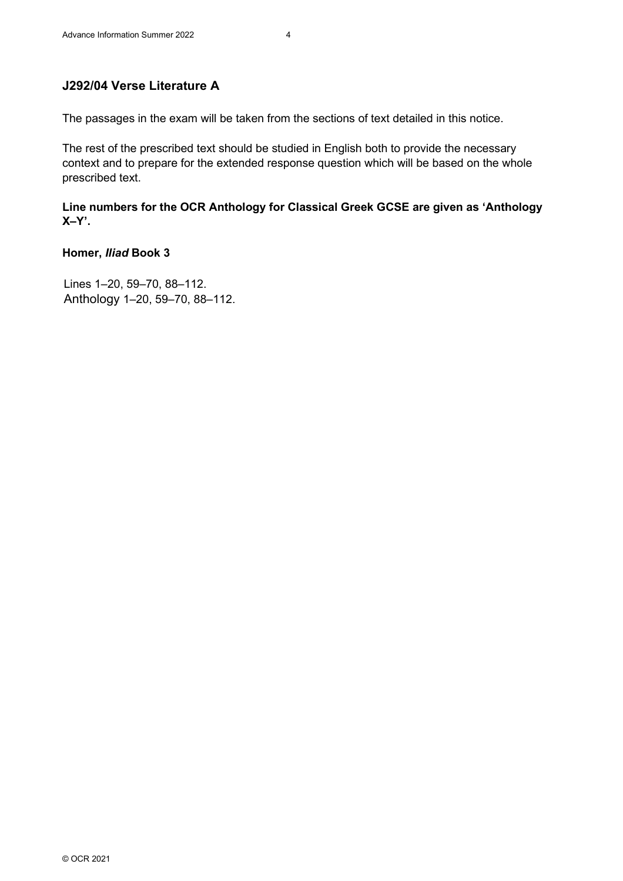### **J292/04 Verse Literature A**

The passages in the exam will be taken from the sections of text detailed in this notice.

The rest of the prescribed text should be studied in English both to provide the necessary context and to prepare for the extended response question which will be based on the whole prescribed text.

**Line numbers for the OCR Anthology for Classical Greek GCSE are given as 'Anthology X–Y'.**

#### **Homer,** *Iliad* **Book 3**

Lines 1–20, 59–70, 88–112. Anthology 1–20, 59–70, 88–112.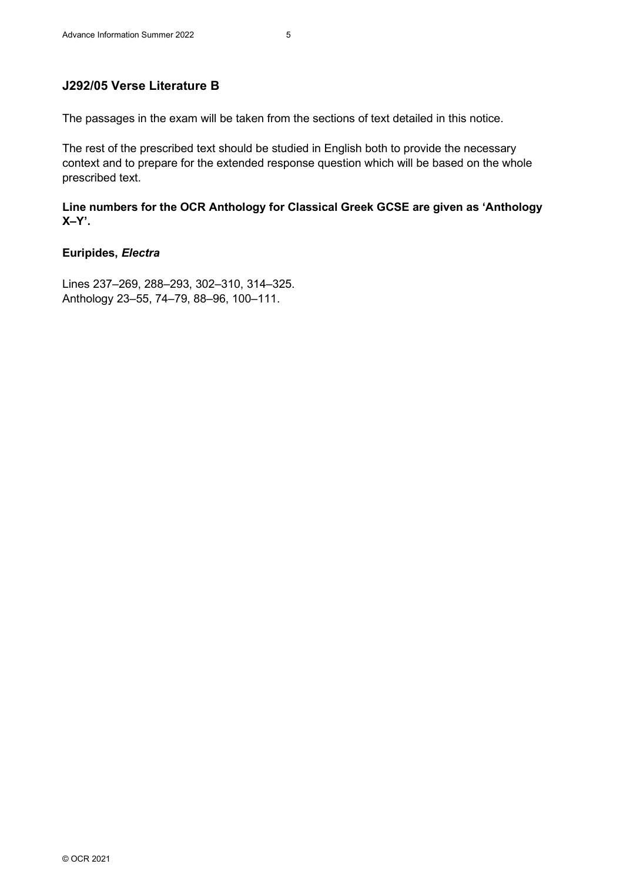#### **J292/05 Verse Literature B**

The passages in the exam will be taken from the sections of text detailed in this notice.

The rest of the prescribed text should be studied in English both to provide the necessary context and to prepare for the extended response question which will be based on the whole prescribed text.

**Line numbers for the OCR Anthology for Classical Greek GCSE are given as 'Anthology X–Y'.**

#### **Euripides,** *Electra*

Lines 237–269, 288–293, 302–310, 314–325. Anthology 23–55, 74–79, 88–96, 100–111.